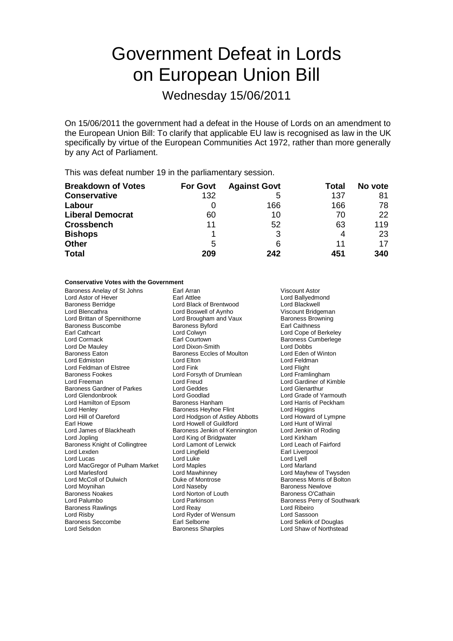# Government Defeat in Lords on European Union Bill

Wednesday 15/06/2011

On 15/06/2011 the government had a defeat in the House of Lords on an amendment to the European Union Bill: To clarify that applicable EU law is recognised as law in the UK specifically by virtue of the European Communities Act 1972, rather than more generally by any Act of Parliament.

This was defeat number 19 in the parliamentary session.

| <b>Breakdown of Votes</b> | <b>For Govt</b> | <b>Against Govt</b> | Total | No vote |
|---------------------------|-----------------|---------------------|-------|---------|
| <b>Conservative</b>       | 132             | 5                   | 137   | 81      |
| Labour                    |                 | 166                 | 166   | 78      |
| <b>Liberal Democrat</b>   | 60              | 10                  | 70    | 22      |
| <b>Crossbench</b>         | 11              | 52                  | 63    | 119     |
| <b>Bishops</b>            |                 | 3                   | 4     | 23      |
| <b>Other</b>              | 5               | 6                   | 11    | 17      |
| <b>Total</b>              | 209             | 242                 | 451   | 340     |

### **Conservative Votes with the Government**

Baroness Anelay of St Johns Earl Arran Viscount Astor Lord Astor of Hever **Earl Attlee** Earl Attlee Lord Ballyedmond Lord Ballyedmond Lord Ballyedmond Ballyedmond Ballyedmond Ballyedmond Ballyedmond Ballyedmond Ballyedmond Ballyedmond Ballyedmond Ballyedmond Ballyedmond Bally Baroness Berridge Lord Black of Brentwood Lord Blackwell Lord Brittan of Spennithorne **Lord Brougham and Vaux** Baroness Browning Baroness Buscombe **Baroness Buscombe** Baroness Byford **Earl Caithness** Earl Cathcart Lord Colwyn Lord Cope of Berkeley Lord Cormack Earl Courtown Baroness Cumberlege Baroness Eaton Baroness Eccles of Moulton Lord Edmiston Lord Elton Lord Feldman Lord Feldman of Elstree **Lord Elitect Lord Fink** Lord Fink Lord Flight<br>
Baroness Fookes **Lord For Lord For Lord Formet Lord For Lord Framingham** Baroness Fookes Lord Forsyth of Drumlean<br>Lord Freeman Lord Freud Baroness Gardner of Parkes Lord Geddes<br>
Lord Glendonbrook Lord Goodlad Lord Glendonbrook Lord Goodlad Lord Grade of Yarmouth Lord Henley **Baroness Heyhoe Flint** Lord Higgins Lord Higgins<br>
Lord Hill of Oareford **Barones Lord Hodes Abbotts** Lord Howard of Lympne Earl Howe Lord Howell of Guildford Lord Hunt of Wirral<br>
Lord James of Blackheath Baroness Jenkin of Kennington Lord Jenkin of Roding Lord James of Blackheath Baroness Jenkin of Kennington Lord Jenkin of Kennington Lord Kirkham<br>Lord Jopling Lord Kirkham Lord King of Bridgwater Lord Kirkham Baroness Knight of Collingtree Lord Lexden Lord Lingfield Earl Liverpool Lord Lucas Lord Luke Lord Lyell Lord MacGregor of Pulham Market Lord Maples Lord Marland Lord McColl of Dulwich **Duke of Montrose** Baroness Morris of Bolton<br>
2011 Lord Moynihan **Duke Of Montrose Baroness Newlove**<br>
Baroness Newlove Baroness Noakes **Lord Norton of Louth** Baroness O'Cathain<br>
Lord Palumbo **Lord Parkinson**<br>
Lord Palumbo **Baroness Perry of S** Baroness Rawlings Lord Reay Lord Ribeiro Lord Risby **Lord Ryder of Wensum**<br> **Baroness Seccombe** Earl Selborne Lord Selsdon Baroness Sharples Lord Shaw of Northstead

Lord Boswell of Aynho Lord Dixon-Smith Lord Dobbs<br>
Baroness Eccles of Moulton Lord Eden of Winton Lord Freud Lord Gardiner of Kimble<br>
Lord Geddes 
Lord Glenarthur Lord Hodgson of Astley Abbotts Lord Howard of Lyn<br>Lord Howell of Guildford Lord Hunt of Wirral Lord King of Bridgwater<br>
Lord Lamont of Lerwick<br>
Lord Leach of Fairford Lord Parkinson **Baroness Perry of Southwark**<br>
Lord Reav<br>
Lord Ribeiro

Lord Harris of Peckham Lord Mayhew of Twysden Baroness Newlove Lord Selkirk of Douglas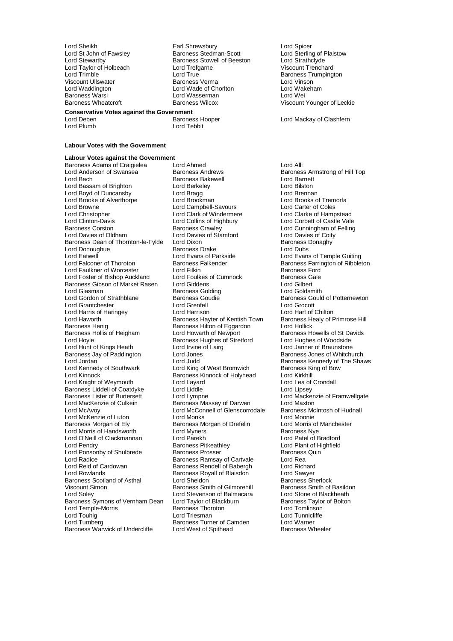Lord Stewartby<br>
Lord Taylor of Holbeach Lord Trefg<br>
Lord Trimble<br>
Lord True

Lord Sheikh **Earl Shrewsbury** Earl Shrewsbury Lord Spicer<br>
Lord St John of Fawsley **Earl Baroness** Stedman-Scott **Lord Sterling** Lord Stewartby Baroness Stowell of Beeston Lord Strathclyde Lord True<br>
Baroness Verma<br>
Baroness Verma<br>
Lord Vinson Viscount Ullswater Baroness Verma Lord Vinson Lord Wade of Chorlton Baroness Warsi **Lord Wasserman** Lord Wei Baroness Wheatcroft **Baroness Wilcox** Baroness Wilcox Viscount Younger of Leckie

**Conservative Votes against the Government**

Lord Plumb Lord Tebbit

## **Labour Votes with the Government**

**Labour Votes against the Government** Baroness Adams of Craigielea Lord Ahmed<br>
Lord Anderson of Swansea Baroness Andrews<br>
Barones Lord Anderson of Swansea **Baroness Andrews** Baroness Armstrong of Hill Top<br>
Baroness Bakewell
Baroness Andrewell
Baroness Bakewell
Baroness Bakewell
Baroness Bakewell
Baroness Andrewel Lord Bassam of Brighton **Lord Berkeley Communist Communist Communist Communist Communist Communist Communist Communist Communist Communist Communist Communist Communist Communist Communist Communist Communist Communist Com** Lord Boyd of Duncansby Lord Bragg Lord Brennan Lord Brooke of Alverthorpe Lord Brookman Lord Brooks of Tremorfa Lord Browne **Lord Campbell-Savours**<br>
Lord Christopher **Lord Clark of Windermere** Lord Christopher Lord Clark of Windermere Lord Clarke of Hampstead Lord Clinton-Davis Lord Collins of Highbury Lord Corbett of Castle Vale<br>Baroness Corston Baroness Crawley Lord Cunningham of Felling Baroness Corston **Baroness Crawley** Chromess Crawley Lord Cunningham of Felling<br>
Lord Davies of Oldham Lord Davies of Stamford Lord Davies of Coity Baroness Dean of Thornton-le-Fylde Lord Dixon<br>Lord Donaughue Baroness Drake Baroness Drake Lord Dubs Lord Donoughue<br>
Lord Eatwell Cord Evans of Parkside Lord Eatwell<br>
Lord Evans of Temple Guiting<br>
Lord Falconer of Thoroton Baroness Falkender Corporation Baroness Farrington of Ribble Lord Faulkner of Worcester Lord Filkin<br>Lord Foster of Bishop Auckland Lord Foulkes of Cumnock Lord Foster of Bishop Auckland Lord Foulkes of Cumnock Baroness Gale<br>Baroness Gibson of Market Rasen Lord Giddens Lord Gilbert Baroness Gibson of Market Rasen Lord Giddens Lord Gilbert Lord Glasman **Baroness Golding**<br> **Lord Gordon of Strathblane** Baroness Goudie Lord Grantchester Lord Grenfell Lord Grocott Lord Harris of Haringey **Lord Harrison** Lord Harrison Lord Harrison Lord Hart of Chilton<br>Lord Haworth Lord Hart of Chilton Baroness Hayter of Kentish Town Baroness Healy of Primrose Hill Lord Haworth **Baroness Hayter of Kentish Town** Baroness H<br>Baroness Henig **Baroness Hilton of Eggardon** Lord Hollick Baroness Henig<br>Baroness Hollis of Heigham Lord Howarth of Newport Baroness Hollis of Heigham Lord Howarth of Newport Baroness Howells of St Davids<br>
Lord Hovle Cord Hughes of Stretford Lord Hughes of Woodside Lord Hunt of Kings Heath Lord Irvine<br>Baroness Jay of Paddington Lord Jones Baroness Jay of Paddington Lord Jones<br>
Lord Jordan Lord Judd Baroness Kennedy of The Sha Lord Jordan Lord Judd Lord Judd Baroness Kennedy of The Shaws<br>
Lord Kennedy of Southwark Lord King of West Bromwich Baroness King of Bow Lord Kennedy of Southwark Lord King of West Bromwich Baroness King of West Bromwich Baroness King of West Brom<br>Lord King ock Baroness Kinnock of Holyhead Lord Kirkhill Lord Knight of Weymouth Lord Layard Lord Lea of Lord Lea of Coatdyke Lord Liddle Lord Linsey Baroness Liddell of Coatdyke Lord Liddle<br>Baroness Lister of Burtersett Lord Lympne Baroness Lister of Burtersett Lord Lympne Lord Mackenzie of Framwellgate<br>
Lord Mackenzie of Culkein Baroness Massev of Darwen Lord Maxton Lord McAvoy **Lord McConnell of Glenscorrodale** Baroness Mc<br>Lord McKenzie of Luton **Lord Monks** Lord Monks Lord McKenzie of Luton Lord Monks Lord Moonie Baroness Morgan of Ely Francess Morgan of Drefelin Lord Morris of<br>Baroness Morgan of Ely Francess Morgan of Drefelin Lord Morris of Handsworth Lord Mornes Lord Morris of Handsworth Lord Myners<br>
Lord O'Neill of Clackmannan Lord Parekh<br>
Lord O'Neill of Clackmannan Lord Parekh Lord O'Neill of Clackmannan Lord Parekh<br>
Lord Pendry Baroness Pitkeathley Lord Ponsonby of Shulbrede Baroness Prosser<br>
Lord Radice Baroness Ramsay Lord Radice <sup>T</sup>range of Baroness Ramsay of Cartvale Theorian Cord Real Lord Real Cord Real Cord Richard<br>Lord Reid of Cardowan Trans Baroness Rendell of Babergh Trans Lord Richard Lord Reid of Cardowan **Baroness Rendell of Babergh** Lord Richard<br>Lord Rowlands **Baroness Rovall of Blaisdon** Lord Sawyer Baroness Scotland of Asthal Lord Sheldon **Baroness Sherlock**<br>
Viscount Simon **Baroness Smith of Gilmorehill** Baroness Smith of Basildon Viscount Simon **Baroness Smith of Gilmorehill** Baroness Smith of Basildon Basildon Basildon Lord Stevenson of Balmacara Lord Stone of Blackheath Baroness Symons of Vernham Dean Lord Taylor of Blackburn Baroness Taylor of Bolton<br>
Lord Temple-Morris Baroness Thornton Baroness Thornton Lord Tomlinson Lord Temple-Morris **Baroness Thornton Lord Touling**<br>
Lord Touhig<br>
Lord Triesman Lord Turnberg **Baroness Turner of Camden** Lord Warner Lord Warner<br>
Baroness Warwick of Undercliffe Lord West of Spithead **Baroness Wheeler** Baroness Warwick of Undercliffe

**Example Baroness Bakewell Lord Barnett<br>
Lord Berkeley Lord Bilston** Lord Davies of Stamford<br>
Lord Dixon<br>
Baroness Donaghy **Baroness Falkender Exercise Farrington of Ribbleton Lord Filkin**<br>Lord Filkin Baroness Goudie Exercise Communication of Baroness Gould of Potternewton<br>
Lord Grenfell Lord Grocott Lord Hoyle Baroness Hughes of Stretford Lord Hughes of Woodside Baroness Kinnock of Holyhead Lord Kirkhill<br>Lord Layard Lord Lea of Crondall Baroness Massey of Darwen Lord Maxton<br>Lord McConnell of Glenscorrodale Baroness McIntosh of Hudnall Examples Royall of Blaisdon Ford Sawyer<br>
Lord Sheldon Ford Baroness Sherlock Lord Stevenson of Balmacara<br>Lord Taylor of Blackburn

Lord Sterling of Plaistow<br>Lord Strathclyde

Lord Deben **Baroness Hooper Baroness Hooper** Lord Mackay of Clashfern

Lord Plant of Highfield<br>Baroness Quin Lord Tunnicliffe<br>Lord Warner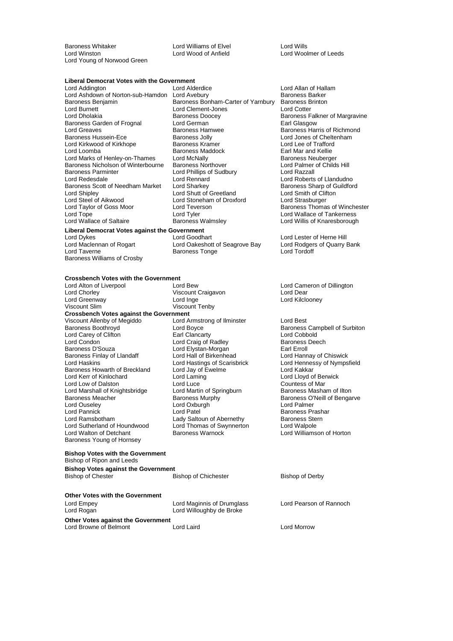Baroness Whitaker Lord Williams of Elvel Lord Wills Lord Young of Norwood Green

Lord Woolmer of Leeds

# **Liberal Democrat Votes with the Government**

Lord Ashdown of Norton-sub-Hamdon Lord Avebury Baroness Garden of Frognal Lord German<br>
Lord Greaves Cord Greates Lord Kirkwood of Kirkhope Baroness Parminter Lord Phillips of Sudbury<br>
Lord Redesdale Lord Rennard<br>
Lord Rennard Lord Shipley Lord Shutt of Greetland<br>Lord Stoneham of Droxf<br>Lord Stoneham of Droxf Lord Tope<br>
Lord Wallace of Saltaire<br>
Lord Wallace of Saltaire<br>
Baroness Walmsley<br>
Lord Willis of Knaresborough

Baroness Benjamin Baroness Bonham-Carter of Yarnbury Baroness Brinton Lord Burnett Lord Clement-Jones Lord Cotter Baroness Doocey **Baroness Falkner of Margravine**<br> **Earl Glasgow** Earl Glasgow Lord Greaves **Exercise State Baroness Hamwee** Baroness Harris of Richmond<br>Baroness Hussein-Ece **Baroness Harris of Communist Corporation** Lord Jones of Cheltenham Baroness Jolly **Lord Jones of Cheltenham**<br>Baroness Kramer **Lord Lee of Trafford** Lord Loomba Baroness Maddock Earl Mar and Kellie Lord Marks of Henley-on-Thames Lord McNally and Department Baroness Neuberger<br>Baroness Nicholson of Winterbourne Baroness Northover Saroness Neutral Almer of Childs Hill Baroness Nicholson of Winterbourne Baroness Northover Lord Palmer<br>Baroness Parminter Lord Phillins of Sudbury Lord Razzall Lord Rennard **Lord Roberts of Llandudno**<br>
Lord Sharkey **Lord Renness Sharp of Guildford** Baroness Scott of Needham Market Lord Sharkey **Baroness Sharp of Guildford Sharkey**<br>Lord Shipley **Baroness Sharp of Guilden**<br>Lord Smith of Clifton Lord Steel of Aikwood Lord Stoneham of Droxford Lord Strasburger Lord Taylor of Goss Moor **Lord Teverson Baroness Thomas of Winchester**<br>
Lord Tope **Lord Toles**<br>
Lord Toles **Cord Toles**<br>
Lord Toles **Allace of Tankerness** 

# **Liberal Democrat Votes against the Government**

Lord Taverne **Communist Construction** Baroness Tonge Baroness Williams of Crosby

# **Crossbench Votes with the Government**

Lord Chorley **Viscount Craigavon**<br>
Lord Greenway **Lord Ingeles** Viscount Slim Viscount Tenby **Crossbench Votes against the Government**<br>Viscount Allenby of Megiddo<br>Lord Armstrong of Ilminster Viscount Allenby of Megiddo Lord Armstrong of Ilminster Lord Best Lord Carey of Clifton **Earl Clancarty** Earl Clancarty **Lord Cobbold**<br>
Lord Condon **Earl Clancarty** Lord Craig of Radley **Earl Collance** Baroness Deech Lord Condon Lord Craig of Radley Baroness Deech Baroness Finlay of Llandaff Lord Hall of Birkenhead<br>Lord Haskins Lord Haskings of Scarisbrick Baroness Howarth of Breckland Lord Jay of E<br>
Lord Kerr of Kinlochard Lord Laming Lord Low of Dalston **Lord Luce** Lord Luce Countess of Mar<br>
Lord Marshall of Knightsbridge Lord Martin of Springburn **Counting Baroness Masham of Ilton** Lord Marshall of Knightsbridge Lord Martin of Springburn Baroness Meacher Baroness Meacher **Baroness Murphy Baroness O'Neill of Bengarve**<br>
Lord Ouselev Lord Oxburgh Lord Palmer<br>
Lord Oxburgh Lord Palmer Lord Ouseley Lord Oxburgh Lord Oxburgh Lord Pannick<br>
Lord Pannick Lord Patel Lord Pannick **Lord Patel Accept Control** Lord Patel Baroness Prashar<br>
Lady Saltoun of Abernethy Baroness Stern Lord Ramsbotham **Lady Saltoun of Abernethy** Baroness Ste<br>
Lord Sutherland of Houndwood Lord Thomas of Swynnerton Lord Walpole Lord Sutherland of Houndwood Lord Thomas of Swynnerton<br>
Lord Walton of Detchant Baroness Warnock Baroness Young of Hornsey

# Lord Elystan-Morgan<br>
Lord Hall of Birkenhead<br>
Lord Hannay of Chiswick Lord Laming<br>
Lord Luce<br>
Lord Luce<br>
Countess of Mar

Lord Allan of Hallam<br>Baroness Barker Lord Wallace of Saltaire Baroness Walmsley Lord Willis of Knaresborough

Lord Dykes<br>
Lord Maclennan of Rogart<br>
Lord Maclennan of Rogart Lord Oakeshott of Seagrove Bay Lord Rodgers of Quarry Bank Lord Oakeshott of Seagrove Bay Lord Rodger<br>Raroness Tonge Lord Tordoff

Lord Alton of Liverpool **Lord Bew Lord Cameron of Dillington**<br>
Lord Chorley **Collect Craigavon**<br>
Lord Chorley Corporation Craigavon<br>
Lord Chear Lord Kilcloonev

> Lord Boyce **Baroness Campbell of Surbiton**<br>
> Earl Clancarty **Baroness Campbell of Surbiton** Lord Hastings of Scarisbrick Lord Hennessy of Nympsfield<br>
> Lord Jay of Ewelme<br>
> Lord Kakkar Lord Williamson of Horton

## Bishop of Ripon and Leeds **Bishop Votes against the Government** Bishop of Chester **Bishop of Chichester** Bishop of Derby

### **Other Votes with the Government**

**Bishop Votes with the Government**

| Lord Empey<br>Lord Rogan                  | Lord Maginnis of Drumglass<br>Lord Willoughby de Broke | Lord Pearson of Rannoch |
|-------------------------------------------|--------------------------------------------------------|-------------------------|
| <b>Other Votes against the Government</b> |                                                        |                         |

Lord Browne of Belmont Lord Laird Lord Morrow